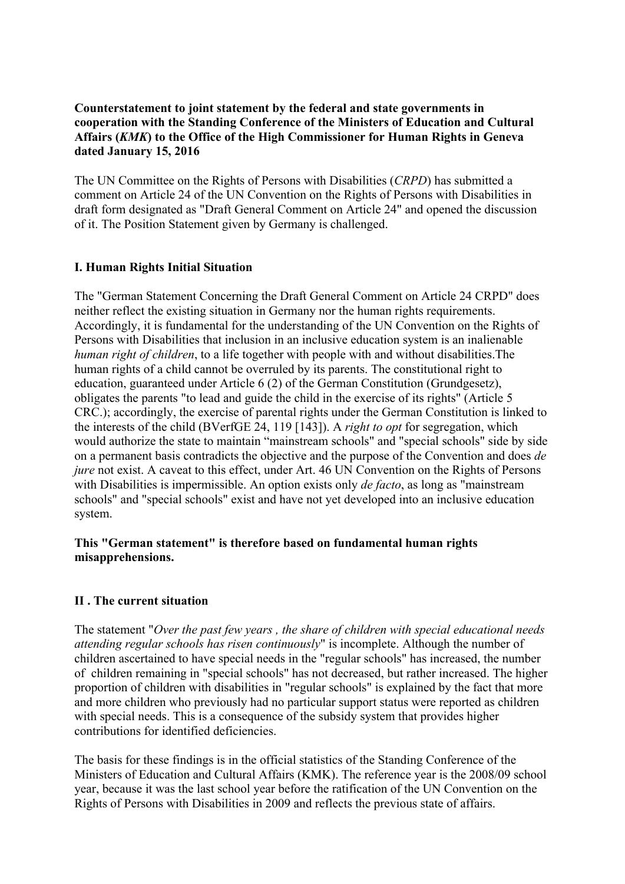## **Counterstatement to joint statement by the federal and state governments in cooperation with the Standing Conference of the Ministers of Education and Cultural Affairs (***KMK***) to the Office of the High Commissioner for Human Rights in Geneva dated January 15, 2016**

The UN Committee on the Rights of Persons with Disabilities (*CRPD*) has submitted a comment on Article 24 of the UN Convention on the Rights of Persons with Disabilities in draft form designated as "Draft General Comment on Article 24" and opened the discussion of it. The Position Statement given by Germany is challenged.

# **I. Human Rights Initial Situation**

The "German Statement Concerning the Draft General Comment on Article 24 CRPD" does neither reflect the existing situation in Germany nor the human rights requirements. Accordingly, it is fundamental for the understanding of the UN Convention on the Rights of Persons with Disabilities that inclusion in an inclusive education system is an inalienable *human right of children*, to a life together with people with and without disabilities.The human rights of a child cannot be overruled by its parents. The constitutional right to education, guaranteed under Article 6 (2) of the German Constitution (Grundgesetz), obligates the parents "to lead and guide the child in the exercise of its rights" (Article 5 CRC.); accordingly, the exercise of parental rights under the German Constitution is linked to the interests of the child (BVerfGE 24, 119 [143]). A *right to opt* for segregation, which would authorize the state to maintain "mainstream schools" and "special schools" side by side on a permanent basis contradicts the objective and the purpose of the Convention and does *de jure* not exist. A caveat to this effect, under Art. 46 UN Convention on the Rights of Persons with Disabilities is impermissible. An option exists only *de facto*, as long as "mainstream schools" and "special schools" exist and have not yet developed into an inclusive education system.

## **This "German statement" is therefore based on fundamental human rights misapprehensions.**

#### **II . The current situation**

The statement "*Over the past few years , the share of children with special educational needs attending regular schools has risen continuously*" is incomplete. Although the number of children ascertained to have special needs in the "regular schools" has increased, the number of children remaining in "special schools" has not decreased, but rather increased. The higher proportion of children with disabilities in "regular schools" is explained by the fact that more and more children who previously had no particular support status were reported as children with special needs. This is a consequence of the subsidy system that provides higher contributions for identified deficiencies.

The basis for these findings is in the official statistics of the Standing Conference of the Ministers of Education and Cultural Affairs (KMK). The reference year is the 2008/09 school year, because it was the last school year before the ratification of the UN Convention on the Rights of Persons with Disabilities in 2009 and reflects the previous state of affairs.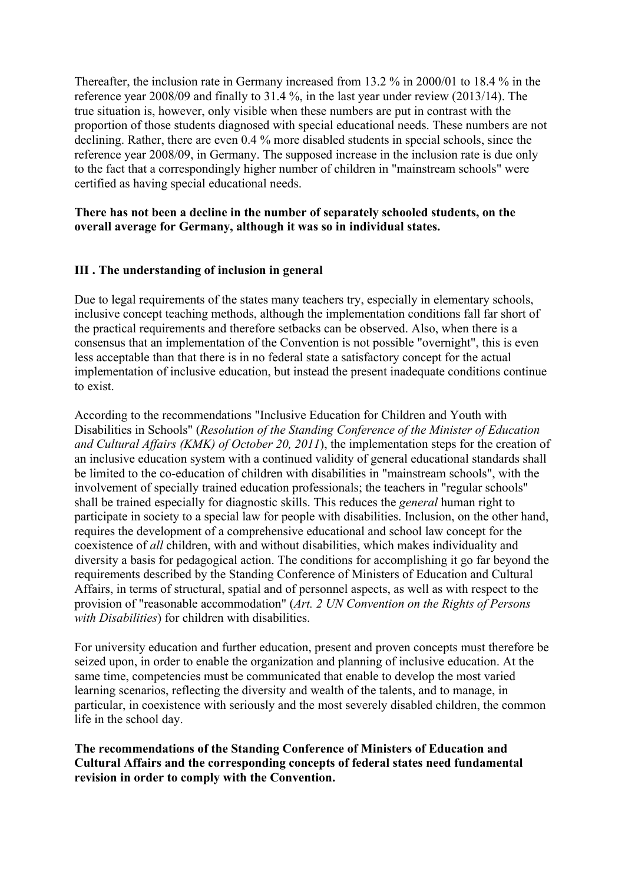Thereafter, the inclusion rate in Germany increased from 13.2 % in 2000/01 to 18.4 % in the reference year 2008/09 and finally to 31.4 %, in the last year under review (2013/14). The true situation is, however, only visible when these numbers are put in contrast with the proportion of those students diagnosed with special educational needs. These numbers are not declining. Rather, there are even 0.4 % more disabled students in special schools, since the reference year 2008/09, in Germany. The supposed increase in the inclusion rate is due only to the fact that a correspondingly higher number of children in "mainstream schools" were certified as having special educational needs.

## **There has not been a decline in the number of separately schooled students, on the overall average for Germany, although it was so in individual states.**

# **III . The understanding of inclusion in general**

Due to legal requirements of the states many teachers try, especially in elementary schools, inclusive concept teaching methods, although the implementation conditions fall far short of the practical requirements and therefore setbacks can be observed. Also, when there is a consensus that an implementation of the Convention is not possible "overnight", this is even less acceptable than that there is in no federal state a satisfactory concept for the actual implementation of inclusive education, but instead the present inadequate conditions continue to exist.

According to the recommendations "Inclusive Education for Children and Youth with Disabilities in Schools" (*Resolution of the Standing Conference of the Minister of Education and Cultural Affairs (KMK) of October 20, 2011*), the implementation steps for the creation of an inclusive education system with a continued validity of general educational standards shall be limited to the co-education of children with disabilities in "mainstream schools", with the involvement of specially trained education professionals; the teachers in "regular schools" shall be trained especially for diagnostic skills. This reduces the *general* human right to participate in society to a special law for people with disabilities. Inclusion, on the other hand, requires the development of a comprehensive educational and school law concept for the coexistence of *all* children, with and without disabilities, which makes individuality and diversity a basis for pedagogical action. The conditions for accomplishing it go far beyond the requirements described by the Standing Conference of Ministers of Education and Cultural Affairs, in terms of structural, spatial and of personnel aspects, as well as with respect to the provision of "reasonable accommodation" (*Art. 2 UN Convention on the Rights of Persons with Disabilities*) for children with disabilities.

For university education and further education, present and proven concepts must therefore be seized upon, in order to enable the organization and planning of inclusive education. At the same time, competencies must be communicated that enable to develop the most varied learning scenarios, reflecting the diversity and wealth of the talents, and to manage, in particular, in coexistence with seriously and the most severely disabled children, the common life in the school day.

**The recommendations of the Standing Conference of Ministers of Education and Cultural Affairs and the corresponding concepts of federal states need fundamental revision in order to comply with the Convention.**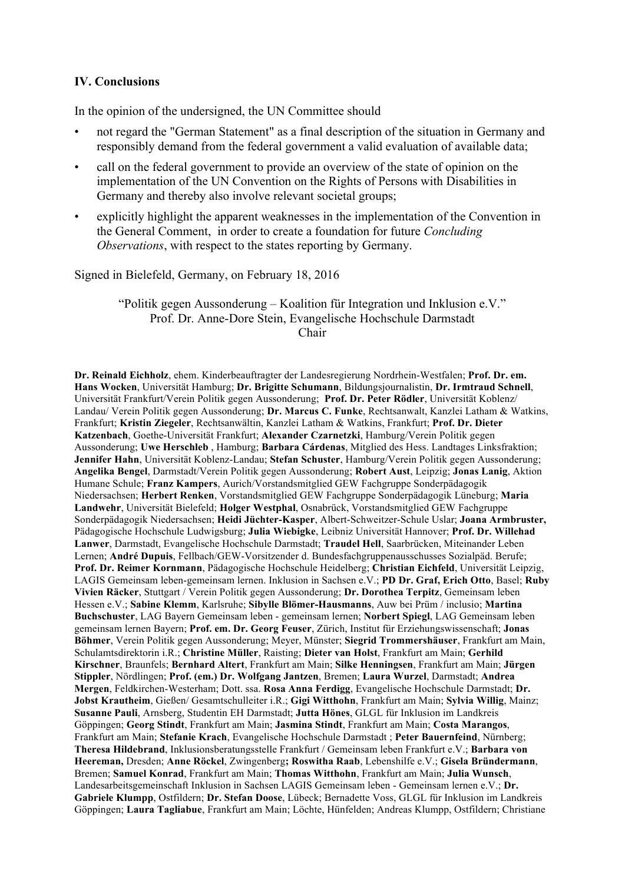## **IV. Conclusions**

In the opinion of the undersigned, the UN Committee should

- not regard the "German Statement" as a final description of the situation in Germany and responsibly demand from the federal government a valid evaluation of available data;
- call on the federal government to provide an overview of the state of opinion on the implementation of the UN Convention on the Rights of Persons with Disabilities in Germany and thereby also involve relevant societal groups;
- explicitly highlight the apparent weaknesses in the implementation of the Convention in the General Comment, in order to create a foundation for future *Concluding Observations*, with respect to the states reporting by Germany.

Signed in Bielefeld, Germany, on February 18, 2016

#### "Politik gegen Aussonderung – Koalition für Integration und Inklusion e.V." Prof. Dr. Anne-Dore Stein, Evangelische Hochschule Darmstadt Chair

**Dr. Reinald Eichholz**, ehem. Kinderbeauftragter der Landesregierung Nordrhein-Westfalen; **Prof. Dr. em. Hans Wocken**, Universität Hamburg; **Dr. Brigitte Schumann**, Bildungsjournalistin, **Dr. Irmtraud Schnell**, Universität Frankfurt/Verein Politik gegen Aussonderung; **Prof. Dr. Peter Rödler**, Universität Koblenz/ Landau/ Verein Politik gegen Aussonderung; **Dr. Marcus C. Funke**, Rechtsanwalt, Kanzlei Latham & Watkins, Frankfurt; **Kristin Ziegeler**, Rechtsanwältin, Kanzlei Latham & Watkins, Frankfurt; **Prof. Dr. Dieter Katzenbach**, Goethe-Universität Frankfurt; **Alexander Czarnetzki**, Hamburg/Verein Politik gegen Aussonderung; **Uwe Herschleb** , Hamburg; **Barbara Cárdenas**, Mitglied des Hess. Landtages Linksfraktion; **Jennifer Hahn**, Universität Koblenz-Landau; **Stefan Schuster**, Hamburg/Verein Politik gegen Aussonderung; **Angelika Bengel**, Darmstadt/Verein Politik gegen Aussonderung; **Robert Aust**, Leipzig; **Jonas Lanig**, Aktion Humane Schule; **Franz Kampers**, Aurich/Vorstandsmitglied GEW Fachgruppe Sonderpädagogik Niedersachsen; **Herbert Renken**, Vorstandsmitglied GEW Fachgruppe Sonderpädagogik Lüneburg; **Maria Landwehr**, Universität Bielefeld; **Holger Westphal**, Osnabrück, Vorstandsmitglied GEW Fachgruppe Sonderpädagogik Niedersachsen; **Heidi Jüchter-Kasper**, Albert-Schweitzer-Schule Uslar; **Joana Armbruster,** Pädagogische Hochschule Ludwigsburg; **Julia Wiebigke**, Leibniz Universität Hannover; **Prof. Dr. Willehad Lanwer**, Darmstadt, Evangelische Hochschule Darmstadt; **Traudel Hell**, Saarbrücken, Miteinander Leben Lernen; **André Dupuis**, Fellbach/GEW-Vorsitzender d. Bundesfachgruppenausschusses Sozialpäd. Berufe; **Prof. Dr. Reimer Kornmann**, Pädagogische Hochschule Heidelberg; **Christian Eichfeld**, Universität Leipzig, LAGIS Gemeinsam leben-gemeinsam lernen. Inklusion in Sachsen e.V.; **PD Dr. Graf, Erich Otto**, Basel; **Ruby Vivien Räcker**, Stuttgart / Verein Politik gegen Aussonderung; **Dr. Dorothea Terpitz**, Gemeinsam leben Hessen e.V.; **Sabine Klemm**, Karlsruhe; **Sibylle Blömer-Hausmanns**, Auw bei Prüm / inclusio; **Martina Buchschuster**, LAG Bayern Gemeinsam leben - gemeinsam lernen; **Norbert Spiegl**, LAG Gemeinsam leben gemeinsam lernen Bayern; **Prof. em. Dr. Georg Feuser**, Zürich, Institut für Erziehungswissenschaft; **Jonas Böhmer**, Verein Politik gegen Aussonderung; Meyer, Münster; **Siegrid Trommershäuser**, Frankfurt am Main, Schulamtsdirektorin i.R.; **Christine Müller**, Raisting; **Dieter van Holst**, Frankfurt am Main; **Gerhild Kirschner**, Braunfels; **Bernhard Altert**, Frankfurt am Main; **Silke Henningsen**, Frankfurt am Main; **Jürgen Stippler**, Nördlingen; **Prof. (em.) Dr. Wolfgang Jantzen**, Bremen; **Laura Wurzel**, Darmstadt; **Andrea Mergen**, Feldkirchen-Westerham; Dott. ssa. **Rosa Anna Ferdigg**, Evangelische Hochschule Darmstadt; **Dr. Jobst Krautheim**, Gießen/ Gesamtschulleiter i.R.; **Gigi Witthohn**, Frankfurt am Main; **Sylvia Willig**, Mainz; **Susanne Pauli**, Arnsberg, Studentin EH Darmstadt; **Jutta Hönes**, GLGL für Inklusion im Landkreis Göppingen; **Georg Stindt**, Frankfurt am Main; **Jasmina Stindt**, Frankfurt am Main; **Costa Marangos**, Frankfurt am Main; **Stefanie Krach**, Evangelische Hochschule Darmstadt ; **Peter Bauernfeind**, Nürnberg; **Theresa Hildebrand**, Inklusionsberatungsstelle Frankfurt / Gemeinsam leben Frankfurt e.V.; **Barbara von Heereman,** Dresden; **Anne Röckel**, Zwingenberg**; Roswitha Raab**, Lebenshilfe e.V.; **Gisela Bründermann**, Bremen; **Samuel Konrad**, Frankfurt am Main; **Thomas Witthohn**, Frankfurt am Main; **Julia Wunsch**, Landesarbeitsgemeinschaft Inklusion in Sachsen LAGIS Gemeinsam leben - Gemeinsam lernen e.V.; **Dr. Gabriele Klumpp**, Ostfildern; **Dr. Stefan Doose**, Lübeck; Bernadette Voss, GLGL für Inklusion im Landkreis Göppingen; **Laura Tagliabue**, Frankfurt am Main; Löchte, Hünfelden; Andreas Klumpp, Ostfildern; Christiane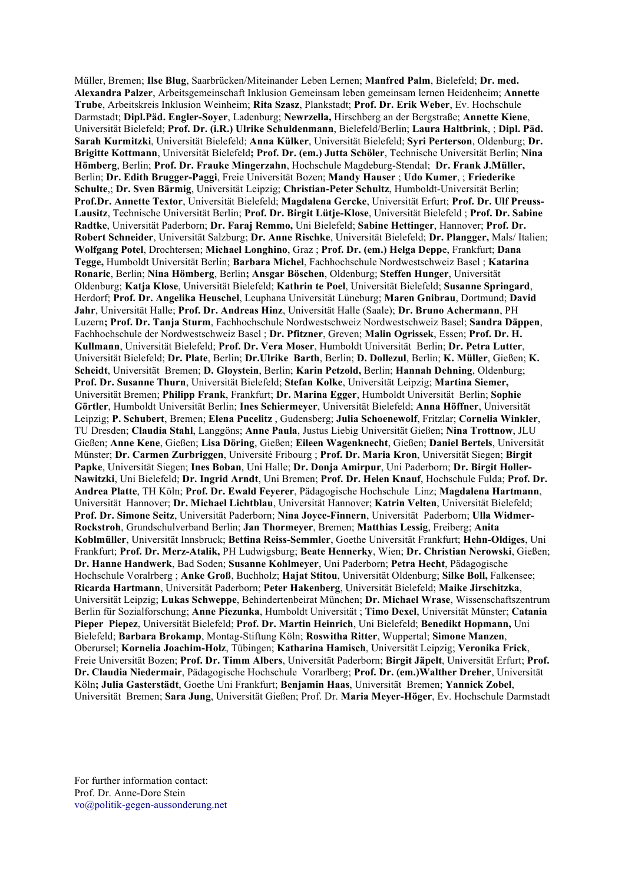Müller, Bremen; **Ilse Blug**, Saarbrücken/Miteinander Leben Lernen; **Manfred Palm**, Bielefeld; **Dr. med. Alexandra Palzer**, Arbeitsgemeinschaft Inklusion Gemeinsam leben gemeinsam lernen Heidenheim; **Annette Trube**, Arbeitskreis Inklusion Weinheim; **Rita Szasz**, Plankstadt; **Prof. Dr. Erik Weber**, Ev. Hochschule Darmstadt; **Dipl.Päd. Engler-Soyer**, Ladenburg; **Newrzella,** Hirschberg an der Bergstraße; **Annette Kiene**, Universität Bielefeld; **Prof. Dr. (i.R.) Ulrike Schuldenmann**, Bielefeld/Berlin; **Laura Haltbrink**, ; **Dipl. Päd. Sarah Kurmitzki**, Universität Bielefeld; **Anna Külker**, Universität Bielefeld; **Syri Perterson**, Oldenburg; **Dr. Brigitte Kottmann**, Universität Bielefeld**; Prof. Dr. (em.) Jutta Schöler**, Technische Universität Berlin; **Nina Hömberg**, Berlin; **Prof. Dr. Frauke Mingerzahn**, Hochschule Magdeburg-Stendal; **Dr. Frank J.Müller,** Berlin; **Dr. Edith Brugger-Paggi**, Freie Universität Bozen; **Mandy Hauser** ; **Udo Kumer**, ; **Friederike Schulte**,; **Dr. Sven Bärmig**, Universität Leipzig; **Christian-Peter Schultz**, Humboldt-Universität Berlin; **Prof.Dr. Annette Textor**, Universität Bielefeld; **Magdalena Gercke**, Universität Erfurt; **Prof. Dr. Ulf Preuss-Lausitz**, Technische Universität Berlin; **Prof. Dr. Birgit Lütje-Klose**, Universität Bielefeld ; **Prof. Dr. Sabine Radtke**, Universität Paderborn; **Dr. Faraj Remmo,** Uni Bielefeld; **Sabine Hettinger**, Hannover; **Prof. Dr. Robert Schneider**, Universität Salzburg; **Dr. Anne Rischke**, Universität Bielefeld; **Dr. Plangger,** Mals/ Italien; **Wolfgang Potel**, Drochtersen; **Michael Longhino**, Graz ; **Prof. Dr. (em.) Helga Depp**e, Frankfurt; **Dana Tegge,** Humboldt Universität Berlin; **Barbara Michel**, Fachhochschule Nordwestschweiz Basel ; **Katarina Ronaric**, Berlin; **Nina Hömberg**, Berlin**; Ansgar Böschen**, Oldenburg; **Steffen Hunger**, Universität Oldenburg; **Katja Klose**, Universität Bielefeld; **Kathrin te Poel**, Universität Bielefeld; **Susanne Springard**, Herdorf; **Prof. Dr. Angelika Heuschel**, Leuphana Universität Lüneburg; **Maren Gnibrau**, Dortmund; **David Jahr**, Universität Halle; **Prof. Dr. Andreas Hinz**, Universität Halle (Saale); **Dr. Bruno Achermann**, PH Luzern**; Prof. Dr. Tanja Sturm**, Fachhochschule Nordwestschweiz Nordwestschweiz Basel; **Sandra Däppen**, Fachhochschule der Nordwestschweiz Basel ; **Dr. Pfitzner**, Greven; **Malin Ogrissek**, Essen; **Prof. Dr. H. Kullmann**, Universität Bielefeld; **Prof. Dr. Vera Moser**, Humboldt Universität Berlin; **Dr. Petra Lutter**, Universität Bielefeld; **Dr. Plate**, Berlin; **Dr.Ulrike Barth**, Berlin; **D. Dollezul**, Berlin; **K. Müller**, Gießen; **K. Scheidt**, Universität Bremen; **D. Gloystein**, Berlin; **Karin Petzold,** Berlin; **Hannah Dehning**, Oldenburg; **Prof. Dr. Susanne Thurn**, Universität Bielefeld; **Stefan Kolke**, Universität Leipzig; **Martina Siemer,** Universität Bremen; **Philipp Frank**, Frankfurt; **Dr. Marina Egger**, Humboldt Universität Berlin; **Sophie Görtler**, Humboldt Universität Berlin; **Ines Schiermeyer**, Universität Bielefeld; **Anna Höffner**, Universität Leipzig; **P. Schubert**, Bremen; **Elena Pucelitz** , Gudensberg; **Julia Schoenewolf**, Fritzlar; **Cornelia Winkler**, TU Dresden; **Claudia Stahl**, Langgöns; **Anne Paula**, Justus Liebig Universität Gießen; **Nina Trottnow**, JLU Gießen; **Anne Kene**, Gießen; **Lisa Döring**, Gießen; **Eileen Wagenknecht**, Gießen; **Daniel Bertels**, Universität Münster; **Dr. Carmen Zurbriggen**, Université Fribourg ; **Prof. Dr. Maria Kron**, Universität Siegen; **Birgit Papke**, Universität Siegen; **Ines Boban**, Uni Halle; **Dr. Donja Amirpur**, Uni Paderborn; **Dr. Birgit Holler-Nawitzki**, Uni Bielefeld; **Dr. Ingrid Arndt**, Uni Bremen; **Prof. Dr. Helen Knauf**, Hochschule Fulda; **Prof. Dr. Andrea Platte**, TH Köln; **Prof. Dr. Ewald Feyerer**, Pädagogische Hochschule Linz; **Magdalena Hartmann**, Universität Hannover; **Dr. Michael Lichtblau**, Universität Hannover; **Katrin Velten**, Universität Bielefeld; **Prof. Dr. Simone Seitz**, Universität Paderborn; **Nina Joyce-Finnern**, Universität Paderborn; **Ulla Widmer-Rockstroh**, Grundschulverband Berlin; **Jan Thormeyer**, Bremen; **Matthias Lessig**, Freiberg; **Anita Koblmüller**, Universität Innsbruck; **Bettina Reiss-Semmler**, Goethe Universität Frankfurt; **Hehn-Oldiges**, Uni Frankfurt; **Prof. Dr. Merz-Atalik,** PH Ludwigsburg; **Beate Hennerky**, Wien; **Dr. Christian Nerowski**, Gießen; **Dr. Hanne Handwerk**, Bad Soden; **Susanne Kohlmeyer**, Uni Paderborn; **Petra Hecht**, Pädagogische Hochschule Voralrberg ; **Anke Groß**, Buchholz; **Hajat Stitou**, Universität Oldenburg; **Silke Boll,** Falkensee; **Ricarda Hartmann**, Universität Paderborn; **Peter Hakenberg**, Universität Bielefeld; **Maike Jirschitzka**, Universität Leipzig; **Lukas Schweppe**, Behindertenbeirat München; **Dr. Michael Wrase**, Wissenschaftszentrum Berlin für Sozialforschung; **Anne Piezunka**, Humboldt Universität ; **Timo Dexel**, Universität Münster; **Catania Pieper Piepez**, Universität Bielefeld; **Prof. Dr. Martin Heinrich**, Uni Bielefeld; **Benedikt Hopmann,** Uni Bielefeld; **Barbara Brokamp**, Montag-Stiftung Köln; **Roswitha Ritter**, Wuppertal; **Simone Manzen**, Oberursel; **Kornelia Joachim-Holz**, Tübingen; **Katharina Hamisch**, Universität Leipzig; **Veronika Frick**, Freie Universität Bozen; **Prof. Dr. Timm Albers**, Universität Paderborn; **Birgit Jäpelt**, Universität Erfurt; **Prof. Dr. Claudia Niedermair**, Pädagogische Hochschule Vorarlberg; **Prof. Dr. (em.)Walther Dreher**, Universität Köln**; Julia Gasterstädt**, Goethe Uni Frankfurt; **Benjamin Haas**, Universität Bremen; **Yannick Zobel**, Universität Bremen; **Sara Jung**, Universität Gießen; Prof. Dr. **Maria Meyer-Höger**, Ev. Hochschule Darmstadt